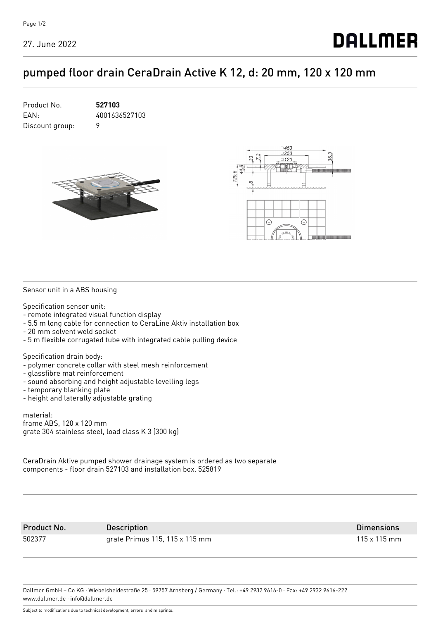## pumped floor drain CeraDrain Active K 12, d: 20 mm, 120 x 120 mm







Sensor unit in a ABS housing

Specification sensor unit:

- remote integrated visual function display
- 5.5 m long cable for connection to CeraLine Aktiv installation box
- 20 mm solvent weld socket
- 5 m flexible corrugated tube with integrated cable pulling device

Specification drain body:

- polymer concrete collar with steel mesh reinforcement
- glassfibre mat reinforcement
- sound absorbing and height adjustable levelling legs
- temporary blanking plate
- height and laterally adjustable grating

material: frame ABS, 120 x 120 mm grate 304 stainless steel, load class K 3 (300 kg)

CeraDrain Aktive pumped shower drainage system is ordered as two separate components - floor drain 527103 and installation box. 525819

Product No. Description Dimensions 502377 grate Primus 115, 115 x 115 mm 115 x 115 mm

Dallmer GmbH + Co KG · Wiebelsheidestraße 25 · 59757 Arnsberg / Germany · Tel.: +49 2932 9616-0 · Fax: +49 2932 9616-222 www.dallmer.de · info@dallmer.de